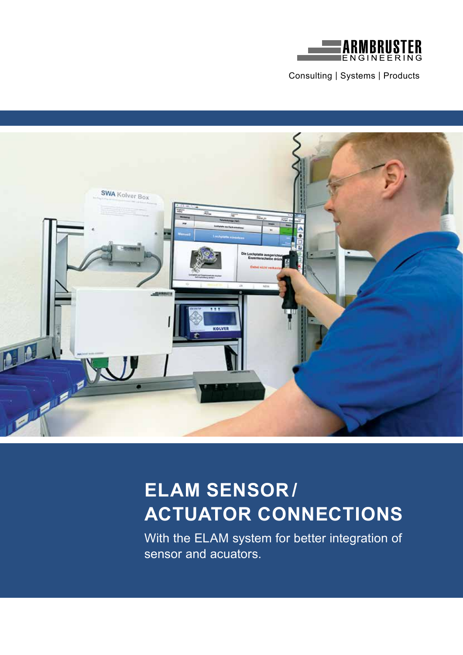

Consulting | Systems | Products



# **ELAM SENSOR / ACTUATOR CONNECTIONS**

With the ELAM system for better integration of sensor and acuators.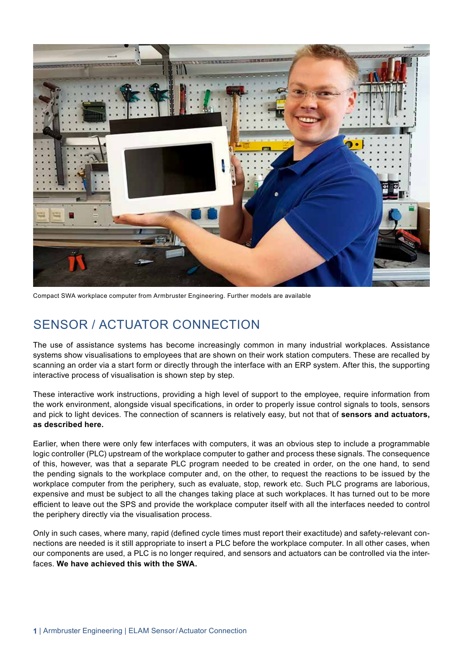

Compact SWA workplace computer from Armbruster Engineering. Further models are available

#### SENSOR / ACTUATOR CONNECTION

The use of assistance systems has become increasingly common in many industrial workplaces. Assistance systems show visualisations to employees that are shown on their work station computers. These are recalled by scanning an order via a start form or directly through the interface with an ERP system. After this, the supporting interactive process of visualisation is shown step by step.

These interactive work instructions, providing a high level of support to the employee, require information from the work environment, alongside visual specifications, in order to properly issue control signals to tools, sensors and pick to light devices. The connection of scanners is relatively easy, but not that of **sensors and actuators, as described here.**

Earlier, when there were only few interfaces with computers, it was an obvious step to include a programmable logic controller (PLC) upstream of the workplace computer to gather and process these signals. The consequence of this, however, was that a separate PLC program needed to be created in order, on the one hand, to send the pending signals to the workplace computer and, on the other, to request the reactions to be issued by the workplace computer from the periphery, such as evaluate, stop, rework etc. Such PLC programs are laborious, expensive and must be subject to all the changes taking place at such workplaces. It has turned out to be more efficient to leave out the SPS and provide the workplace computer itself with all the interfaces needed to control the periphery directly via the visualisation process.

Only in such cases, where many, rapid (defined cycle times must report their exactitude) and safety-relevant connections are needed is it still appropriate to insert a PLC before the workplace computer. In all other cases, when our components are used, a PLC is no longer required, and sensors and actuators can be controlled via the interfaces. **We have achieved this with the SWA.**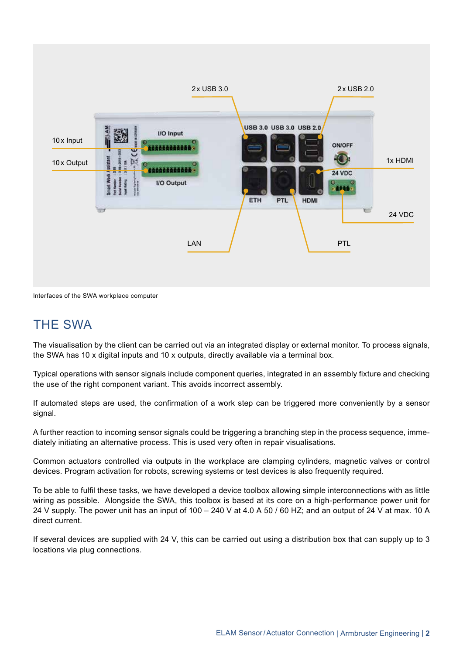

Interfaces of the SWA workplace computer

#### THE SWA

The visualisation by the client can be carried out via an integrated display or external monitor. To process signals, the SWA has 10 x digital inputs and 10 x outputs, directly available via a terminal box.

Typical operations with sensor signals include component queries, integrated in an assembly fixture and checking the use of the right component variant. This avoids incorrect assembly.

If automated steps are used, the confirmation of a work step can be triggered more conveniently by a sensor signal.

A further reaction to incoming sensor signals could be triggering a branching step in the process sequence, immediately initiating an alternative process. This is used very often in repair visualisations.

Common actuators controlled via outputs in the workplace are clamping cylinders, magnetic valves or control devices. Program activation for robots, screwing systems or test devices is also frequently required.

To be able to fulfil these tasks, we have developed a device toolbox allowing simple interconnections with as little wiring as possible. Alongside the SWA, this toolbox is based at its core on a high-performance power unit for 24 V supply. The power unit has an input of 100 – 240 V at 4.0 A 50 / 60 HZ; and an output of 24 V at max. 10 A direct current.

If several devices are supplied with 24 V, this can be carried out using a distribution box that can supply up to 3 locations via plug connections.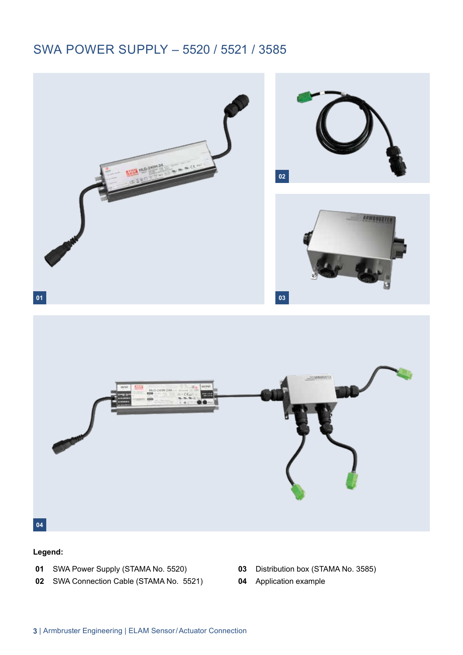#### SWA POWER SUPPLY – 5520 / 5521 / 3585



#### **Legend:**

- SWA Power Supply (STAMA No. 5520)
- SWA Connection Cable (STAMA No. 5521)
- Distribution box (STAMA No. 3585)
- Application example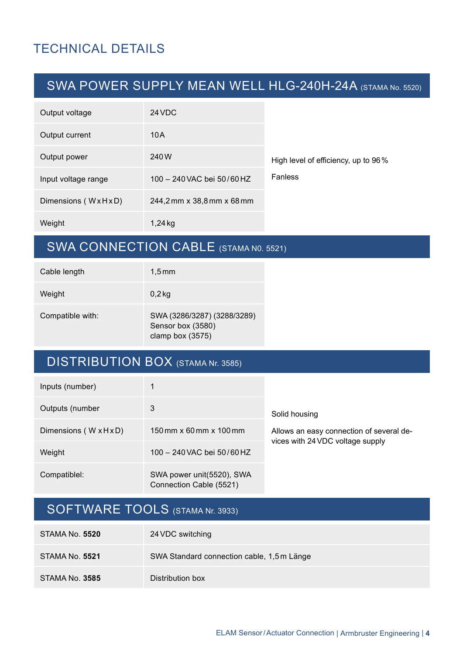### TECHNICAL DETAILS

### SWA POWER SUPPLY MEAN WELL HLG-240H-24A (STAMA No. 5520)

| Output voltage      | 24 VDC                     |                                     |
|---------------------|----------------------------|-------------------------------------|
| Output current      | 10A                        |                                     |
| Output power        | 240W                       | High level of efficiency, up to 96% |
| Input voltage range | 100 - 240 VAC bei 50/60 HZ | <b>Fanless</b>                      |
| Dimensions (WxHxD)  | 244,2 mm x 38,8 mm x 68 mm |                                     |
| Weight              | 1,24 kg                    |                                     |

### SWA CONNECTION CABLE (STAMA N0. 5521)

| Cable length     | $1.5 \,\mathrm{mm}$                                                  |
|------------------|----------------------------------------------------------------------|
| Weight           | $0,2$ kg                                                             |
| Compatible with: | SWA (3286/3287) (3288/3289)<br>Sensor box (3580)<br>clamp box (3575) |

### DISTRIBUTION BOX (STAMA Nr. 3585)

| Inputs (number)        |                                                                      |                                          |  |
|------------------------|----------------------------------------------------------------------|------------------------------------------|--|
| Outputs (number        | 3                                                                    | Solid housing                            |  |
| Dimensions (W x H x D) | $150 \,\mathrm{mm} \times 60 \,\mathrm{mm} \times 100 \,\mathrm{mm}$ | Allows an easy connection of several de- |  |
| Weight                 | $100 - 240$ VAC bei 50/60 HZ                                         | vices with 24 VDC voltage supply         |  |
| Compatiblel:           | SWA power unit(5520), SWA<br>Connection Cable (5521)                 |                                          |  |

### SOFTWARE TOOLS (STAMA Nr. 3933)

| <b>STAMA No. 5520</b> | 24 VDC switching                           |
|-----------------------|--------------------------------------------|
| STAMA No. <b>5521</b> | SWA Standard connection cable, 1,5 m Länge |
| STAMA No. <b>3585</b> | Distribution box                           |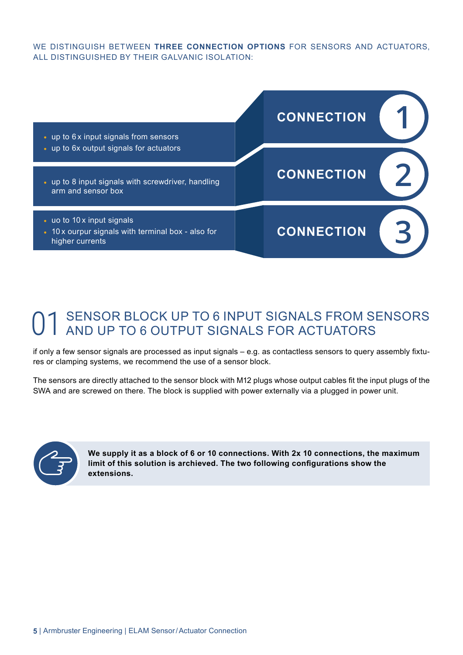WE DISTINGUISH BETWEEN **THREE CONNECTION OPTIONS** FOR SENSORS AND ACTUATORS, ALL DISTINGUISHED BY THEIR GALVANIC ISOLATION:



#### SENSOR BLOCK UP TO 6 INPUT SIGNALS FROM SENSORS AND UP TO 6 OUTPUT SIGNALS FOR ACTUATORS 01

if only a few sensor signals are processed as input signals – e.g. as contactless sensors to query assembly fixtures or clamping systems, we recommend the use of a sensor block.

The sensors are directly attached to the sensor block with M12 plugs whose output cables fit the input plugs of the SWA and are screwed on there. The block is supplied with power externally via a plugged in power unit.



**We supply it as a block of 6 or 10 connections. With 2x 10 connections, the maximum limit of this solution is archieved. The two following configurations show the extensions.**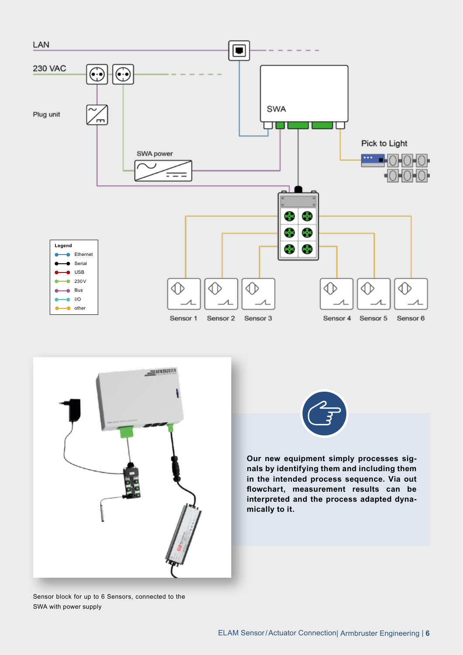



Sensor block for up to 6 Sensors, connected to the SWA with power supply



**Our new equipment simply processes signals by identifying them and including them in the intended process sequence. Via out flowchart, measurement results can be interpreted and the process adapted dynamically to it.**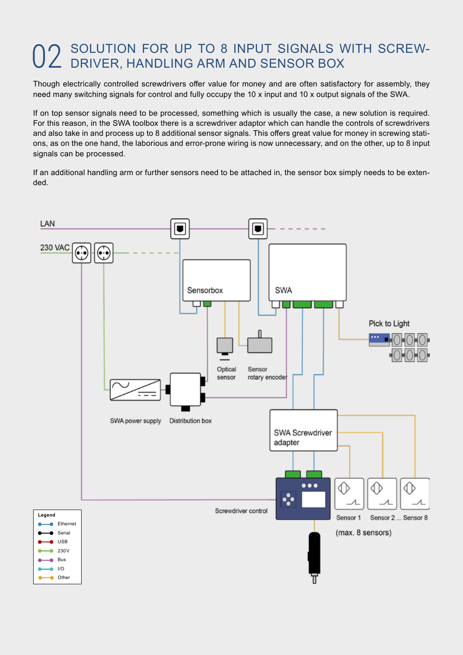# SOLUTION FOR UP TO 8 INPUT SIGNALS WITH SCREW-02 SOLUTION FOR UP TO 8 INPUT SIGNALS V<br>D2 DRIVER, HANDLING ARM AND SENSOR BOX

Though electrically controlled screwdrivers offer value for money and are often satisfactory for assembly, they need many switching signals for control and fully occupy the 10 x input and 10 x output signals of the SWA.

If on top sensor signals need to be processed, something which is usually the case, a new solution is required. For this reason, in the SWA toolbox there is a screwdriver adaptor which can handle the controls of screwdrivers and also take in and process up to 8 additional sensor signals. This offers great value for money in screwing stations, as on the one hand, the laborious and error-prone wiring is now unnecessary, and on the other, up to 8 input signals can be processed.

If an additional handling arm or further sensors need to be attached in, the sensor box simply needs to be extended.

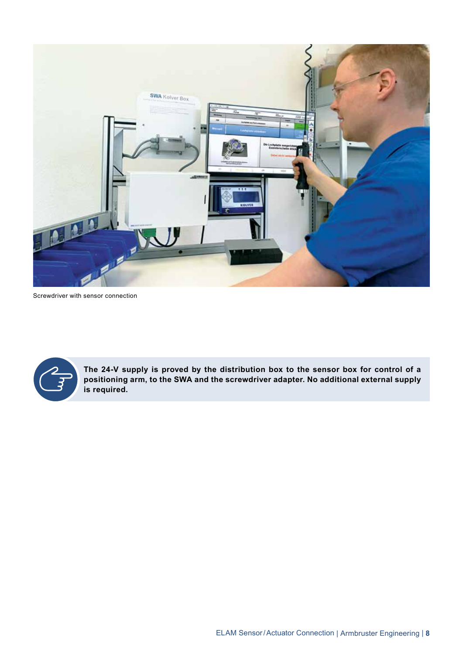

Screwdriver with sensor connection



**The 24-V supply is proved by the distribution box to the sensor box for control of a positioning arm, to the SWA and the screwdriver adapter. No additional external supply is required.**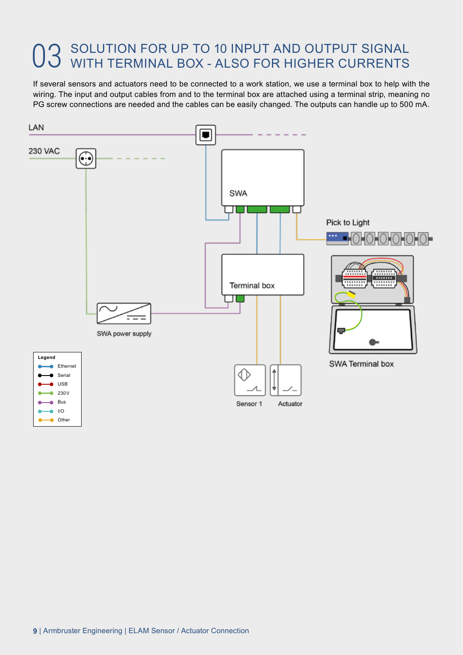# 03 SOLUTION FOR UP TO 10 INPUT AND OUTPUT SIGNAL USE WITH TERMINAL BOX - ALSO FOR HIGHER CURRENTS WITH TERMINAL BOX - ALSO FOR HIGHER CURRENTS

If several sensors and actuators need to be connected to a work station, we use a terminal box to help with the wiring. The input and output cables from and to the terminal box are attached using a terminal strip, meaning no PG screw connections are needed and the cables can be easily changed. The outputs can handle up to 500 mA.

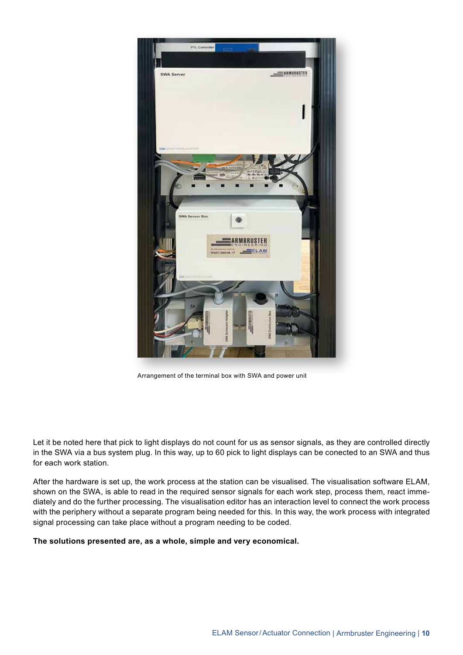

Arrangement of the terminal box with SWA and power unit

Let it be noted here that pick to light displays do not count for us as sensor signals, as they are controlled directly in the SWA via a bus system plug. In this way, up to 60 pick to light displays can be conected to an SWA and thus for each work station.

After the hardware is set up, the work process at the station can be visualised. The visualisation software ELAM, shown on the SWA, is able to read in the required sensor signals for each work step, process them, react immediately and do the further processing. The visualisation editor has an interaction level to connect the work process with the periphery without a separate program being needed for this. In this way, the work process with integrated signal processing can take place without a program needing to be coded.

#### **The solutions presented are, as a whole, simple and very economical.**